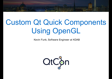# Custom Qt Quick Components Using OpenGL

Kevin Funk, Software Engineer at KDAB

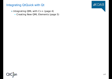### Integrating QtQuick with Qt

- Integrating QML with C++ (page 4)
	- Creating New QML Elements (page 5)

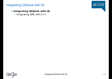### Integrating QtQuick with Qt

# $A KDAB$

#### **Integrating QtQuick with Qt**

• Integrating QML with C++

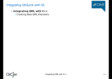### Integrating QtQuick with Qt

- **Integrating QML with C++**
	- Creating New QML Elements

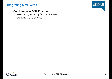### Integrating QML with C++

#### **Creating New QML Elements**

- Registering & Using Custom Elements
- Creating GUI elements

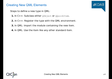Steps to define a new type in QML:

- 1. In C++: Subclass either [QObject](class://QObject) or [QQuickItem](class://QQuickItem).
- **2.** In C++: Register the type with the QML environment.
- **3.** In QML: Import the module containing the new item.
- **4.** In QML: Use the item like any other standard item.

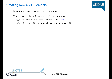- Non-visual types are [QObject](class://QObject) subclasses.
- Visual types (items) are *[QQuickItem](class://QQuickItem)* subclasses.
	- [QQuickItem](class://QQuickItem) is the C++ equivalent of [Item](qmlElement://Item).
	- [QQuickPaintedItem](class://QQuickPaintedItem) is for drawing items with QPainter.

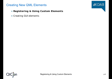- **Registering & Using Custom Elements**
- Creating GUI elements

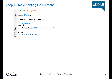### Step 1: Implementing the Element

```
1 #include <QObject>
 2
 3 class QTimer;
 4
 5 class RandomTimer : public QObject
 6 {
 7 Q_OBJECT
 8 public:
9 RandomTimer(QObject *parent = 0);
10
11 private:
12 QTimer* m_timer;
13 };
```
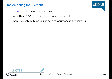### Implementing the Element

- [RandomTimer](qmlElement://RandomTimer) is a [QObject](class://QObject) subclass.
- As with all [QObject](class://QObject)s, each item can have a parent.
- Non-GUI custom items do not need to worry about any painting.

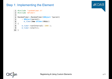### Step 1: Implementing the Element

```
1 #include "randomtimer.h"
2 #include <QTimer>
3
4 RandomTimer::RandomTimer(QObject *parent)
5 : QObject(parent),
6 m_timer(new QTimer(this))
7 {
8 m timer->setInterval( 1000 );
9 m timer->start();
10 }
```


**≰KDAB**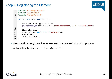### Step 2: Registering the Element

```
1 #include <QGuiApplication>
 2 #include <QQuickView>
 3 #include "randomtimer.h"
 4
 5 int main(int argc, char *argv[])
 6 {
 7 QGuiApplication app(argc, argv);
 8 qmlRegisterType<RandomTimer>("CustomComponents", 1, 0, "RandomTimer");
 9
10 QQuickView view;
11 view.setSource(QUrl("qrc:///main.qml"));
12 view.show();
13 return app.exec();
14 }
```
- RandomTimer registered as an element in module CustomComponents
- Automatically available to the main.qml file

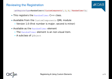### Reviewing the Registration



qmlRegisterType<RandomTimer>("CustomComponents", 1, 0, "RandomTimer");

- This registers the [RandomTimer](qmlElement://RandomTimer) C++ class.
- Available from the CustomComponents QML module
	- Version 1.0 (first number is major; second is minor)
- Available as the [RandomTimer](qmlElement://RandomTimer) element
	- The [RandomTimer](qmlElement://RandomTimer) element is an non-visual item.
	- A subclass of [QObject](class://QObject)

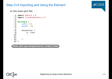### Step 3+4 Importing and Using the Element

## **AKDAB**

In the main.qml file:



**Demo qml-cpp-integration/ex\_simple\_timer**

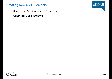- Registering & Using Custom Elements
- **Creating GUI elements**

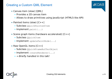### Creating a Custom QML Element

- Canvas item (slow) [OML]
	- Provides a 2D canvas item
	- Allows to draw primitives using JavaScript (HTML5-like API)
- Painted items (slow)  $[C++]$ 
	- **Subclass** [QQuickPaintedItem](class://QQuickPaintedItem)
	- Implement paint (...)
- Scene graph items (hardware accelerated)  $[C++]$ 
	- **Subclass** [QQuickItem](class://QQuickItem)
	- **Implement** [updatePaintNode\(...\)](class://QQuickItem::updatePaintNode)
- Raw OpenGL items  $[C++]$ 
	- **Subclass** [QQuickFrameBufferObject](class://QQuickFrameBufferObject)
	- **Implement** [createRenderer\(...\)](class://QQuickFrameBufferObject::createRenderer)
	- $\bullet$   $\rightarrow$  Briefly handled in this talk!



**≰KDAB**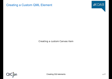### Creating a Custom QML Element



Creating a custom Canvas item

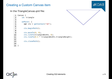### Creating a Custom Canvas item

**AKDAB** 

#### In the TriangleCanvas.qml file:

```
1 Canvas {
2 id: triangle
 3
4 onPaint: {
5 var ctx = getContext("2d");
6
7 ctx.beginPath();
8
9 ctx.moveTo(0, 0);
10 ctx.lineTo(triangleWidth, 0);
11 ctx.lineTo(0.5 * triangleWidth,triangleHeight);
12
13 ctx.closePath();
14
15 }
```
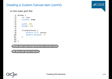### Creating a Custom Canvas item (cont'd)

# **AKDAB**

#### In the main.qml file:

```
1 Window {
2 id: root
3 visible: true
4
5 width: 800
6 height: 600
7
8 TriangleCanvas {
9 anchors.fill: parent
10 anchors.margins: 10
11 }
12
13 }
```
**Demo qml-cpp-integration/ex-canvas-item**

**Qt Docs Qt Quick Canvas**

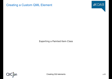### Creating a Custom QML Element



Exporting a Painted Item Class

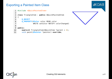### Exporting a Painted Item Class





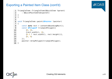### Exporting a Painted Item Class (cont'd)

```
1 TriangleItem::TriangleItem(QQuickItem *parent)
 2 : QQuickPaintedItem(parent)
 3 {
 4 }
 5
 6 void TriangleItem::paint(QPainter *painter)
 7 {
 8 const auto rect = contentsBoundingRect();
 9 const QPolygonF trianglePolygon({
10 \t {0, 0},11 \{rect<u>.\text{width}(),\theta\},</u>
12 {0.5 * \text{rect}.\text{width}()}, \text{rect}.\text{height}()}13 {0, 0}
14 });
15 painter->drawPolygon(trianglePolygon);
16 }
```
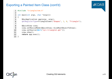### Exporting a Painted Item Class (cont'd)

```
1 #include "triangleitem.h"
 2
 3 int main(int argc, char *argv[])
 4 {
 5 QGuiApplication app(argc, argv);
 6 qmlRegisterType<TriangleItem>("Shapes", 1, 0, "Triangle");
 7
 8 QQuickView view;
 9 view.setResizeMode(QQuickView::SizeRootObjectToView);
10 view.setSource(QUrl("qrc:triangle1.qml"));
11 view.show();
12 return app.exec();
13 }
```
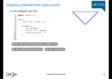### Exporting a Painted Item Class (cont'd)

#### In the triangle1.qml file:





**Demo qml-cpp-integration/ex-simple-item**

**Qt Docs QQuickPaintedItem Qt Docs QPainter**

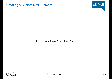### Creating a Custom QML Element



Exporting a Scene Graph Item Class

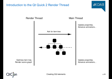### Introduction to the Qt Quick 2 Render Thread





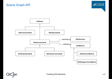

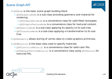### Scene Graph API



- [QSGNode](class://QSGNode) is the basic scene graph building block.
	- [QSGGeometryNode](class://QSGGeometryNode) is a sub-class providing geometry and material for rendering.
		- [QSGSimpleRectNode](class://QSGSimpleRectNode) is a convenience class for solid filled rectangles.
		- [QSGSimpleTextureNode](class://QSGSimpleTextureNode) is a convenience class for textured content.
	- [QSGOpacityNode](class://QSGOpacityNode) is a sub-class applying its opacity to its sub-tree.
	- [QSGTransformNode](class://QSGTransformNode) is a sub-class applying a transformation to its subtree.
- [QSGGeometry](class://QSGGeometry) allows storing of vertex data to create graphics primitives.
- [QSGMaterial](class://QSGMaterial) is the base class used to specify materials.
	- OSGFlatColorMaterial is a convenience class for solid color fills.
	- [QSGOpaqueTextureMaterial](class://QSGOpaqueTextureMaterial) is a convenience class using [QSGTexture](class://QSGTexture) for textured fills.

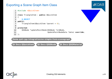### Exporting a Scene Graph Item Class



**Demo qml-cpp-integration/ex-simple-item-scenegraph**

**Qt Docs QQuickItem Qt Docs QSGNode Qt Docs QSGMaterial**



**≰KDAB**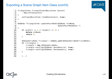

```
1 TriangleItem::TriangleItem(QQuickItem *parent)
2 : QQuickItem(parent)
3 \mid \{4 setFlag(QQuickItem::ItemHasContents, true);
5 }
6
7 QSGNode *TriangleItem::updatePaintNode(QSGNode *oldNode,
8 UpdatePaintNodeData *)
9 {
10 if (width() \leq 0 || height() \leq 0) {
11 delete oldNode;
12 return 0;
13 }
14
15 QSGGeometryNode *triangle = static cast<QSGGeometryNode*>(oldNode);
16 if (!triangle) {
17 triangle = new QSGGeometryNode;
18 triangle->setFlag(QSGNode::OwnsMaterial, true);
19 triangle->setFlag(QSGNode::OwnsGeometry, true);
20 }
21
22 [...]
```
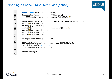```
20 [...]
21 const QRectF rect = boundingRect();
22 QSGGeometry *geometry = new QSGGeometry(
23 QSGGeometry::defaultAttributes Point2D(), 3);
24
25 QSGGeometry::Point2D *points = geometry->vertexDataAsPoint2D();
26 points[0]. x = rect.left();
27 points[\theta].y = rect.top();
28 points[1].x = rect.left() + rect<u></u>
29 points[1] \cdot y = rect.bottom();
30 points[2].x = rect.right();
31 points[2].y = rect.top();
32
33 triangle->setGeometry(geometry);
34
35 QSGFlatColorMaterial *material = new QSGFlatColorMaterial;
36 material->setColor(Qt::blue);
37 triangle->setMaterial(material);
38
39 return triangle;
40 }
```
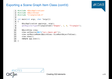```
1 #include <QGuiApplication>
 2 #include <QQuickView>
 3 #include "triangleitem.h"
 4
 5 int main(int argc, char *argv[])
 6 {
 7 QGuiApplication app(argc, argv);
 8 qmlRegisterType<TriangleItem>("Shapes", 1, 0, "Triangle");
 9
10 00uickView view;
11 view.setSource(QUrl("qrc:/main.qml"));
12 view.setResizeMode(QQuickView::SizeRootObjectToView);
13 view.show();
14 return app.exec();
15 }
```
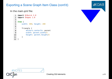#### In the main.qml file:

```
1 import QtQuick 2.0
2 import Shapes 1.0
3
4 Item {
5 width: 300; height: 200
6
7 Triangle {
8 anchors.centerIn: parent
9 width: parent.width/2
10 height: parent.height/2
11 }
12 }
```


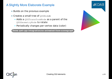### A Slightly More Elaborate Example

- Builds on the previous example
- Creates a small tree of QSGNodes
	- Adds a QSGTransformNode as a parent of the QSGGeometryNode to rotate
	- Periodically changes per-vertex data (color)

**Demo qml-cpp-integration/ex-animated-item-scenegraph**



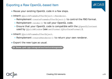### Exporting a Raw OpenGL-based Item

 $AKDAB$ 

- Reuse your existing OpenGL code in a few steps.
- Inherit [QQuickFramebufferObject::Renderer](class://QQuickFramebufferObject::Renderer).
	- Reimplement [createFramebufferObject\(\)](class://QQuickFrameBufferObject::Renderer::createFramebufferObject) to control the FBO format.
	- Reimplement [render\(\)](class://QQuickFrameBufferObject::Renderer::render) to call your OpenGL code.
	- Ensure that your OpenGL code is compatible with the **[QOpenGLContext](class://QOpenGLContext) used by** OQuickWindow (see setFormat (OSurfaceFormat)).
- Inherit [QQuickFramebufferObject](class://QQuickFramebufferObject).
	- Reimplement [createRenderer\(\)](class://QQuickFrameBufferObject::createRenderer) to return your own renderer.
- Export the new type as usual.

**Qt Demo qml-cpp-integration/textureinsgnode**

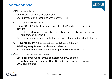### Recommendations

≰KDAB

- OML: [Canvas](class://Canvas) item
	- Only useful for non-complex items
	- Useful if you don't intend to write any C++ ;)
- C++: [QQuickPaintedItem](class://QQuickPaintedItem)
	- Using QQuickPaintedItem uses an indirect 2D surface to render its content
		- So the rendering is a two-step operation. First rasterize the surface, then draw the surface.
	- Does not implement edge antialiasing, only QPainter-based antialiasing
- C++: Reimplementing [QQuickItem::updatePaintNode\(\)](class://QQuickItem::updatePaintNode())
	- Relatively easy to use, hardware accelerated
	- Building blocks for creating custom geometries & materials
- C++: [QQuickFrameBufferObject](class://QQuickFrameBufferObject)
	- Useful for over-/underlaying complete OpenGL scenes
	- Tricky to make sure custom OpenGL code does not interfere with QtQuick renderer